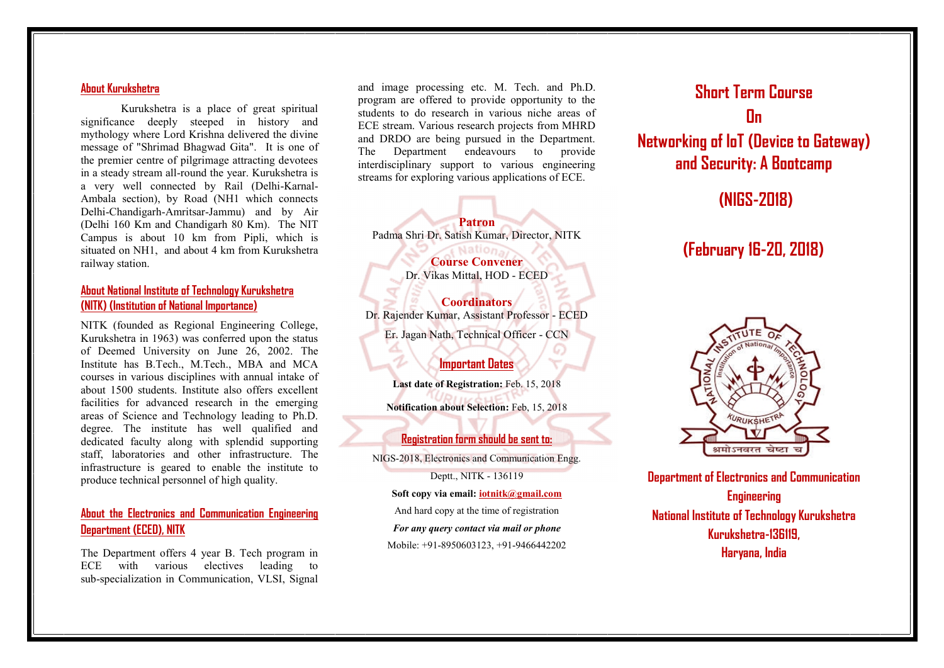### **About Kurukshetra**

Kurukshetra is a place of great spiritual significance deeply steeped in history and mythology where Lord Krishna delivered the divine message of "Shrimad Bhagwad Gita". It is one of the premier centre of pilgrimage attracting devotees in a steady stream all-round the year. Kurukshetra is a very well connected by Rail (Delhi-Karnal- Ambala section), by Road (NH1 which connects Delhi-Chandigarh-Amritsar-Jammu) and by Air (Delhi 160 Km and Chandigarh 80 Km). The NIT Campus is about 10 km from Pipli, which is situated on NH1, and about 4 km from Kurukshetra railway station.

## **About National Institute of Technology Kurukshetra (NITK) (Institution of National Importance)**

NITK (founded as Regional Engineering College, Kurukshetra in 1963) was conferred upon the status of Deemed University on June 26, 2002. The Institute has B.Tech., M.Tech., MBA and MCA courses in various disciplines with annual intake of about 1500 students. Institute also offers excellent facilities for advanced research in the emerging areas of Science and Technology leading to Ph.D. degree. The institute has well qualified and dedicated faculty along with splendid supporting staff, laboratories and other infrastructure. The infrastructure is geared to enable the institute to produce technical personnel of high quality.

# **About the Electronics and Communication Engineering Department (ECED), NITK**

The Department offers 4 year B. Tech program in ECE with various electives leading to sub-specialization in Communication, VLSI, Signal

and image processing etc. M. Tech. and Ph.D. program are offered to provide opportunity to the students to do research in various niche areas of ECE stream. Various research projects from MHRD and DRDO are being pursued in the Department. The Department endeavours to provide interdisciplinary support to various engineering streams for exploring various applications of ECE.

**Patron** Padma Shri Dr. Satish Kumar, Director, NITK Nation.

> **Course Convener** Dr. Vikas Mittal, HOD - ECED

**Coordinators** Dr. Rajender Kumar, Assistant Professor - ECED Er. Jagan Nath, Technical Officer - CCN

# **Important Dates**

**Last date of Registration:** Feb. 15, 2018 **Notification about Selection:** Feb, 15, 2018

### **Registration form should be sent to:**

NIGS-2018, Electronics and Communication Engg. Deptt., NITK - 136119 **Soft copy via email: iotnitk@gmail.com** And hard copy at the time of registration

*For any query contact via mail or phone*

Mobile: +91-8950603123, +91-9466442202

# **Short Term Course On**

**Networking of loT (Device to Gateway) and Security: A Bootcamp**

**(NIGS-2018)**

# **(February 16-20, 2018)**



**Department of Electronics and Communication Engineering National Institute of Technology Kurukshetra Kurukshetra-136119, Haryana, India**